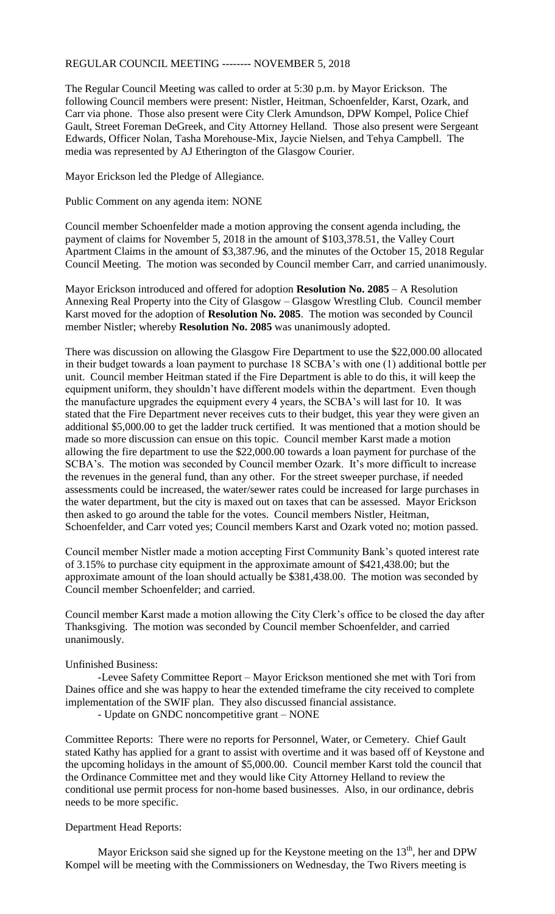## REGULAR COUNCIL MEETING -------- NOVEMBER 5, 2018

The Regular Council Meeting was called to order at 5:30 p.m. by Mayor Erickson. The following Council members were present: Nistler, Heitman, Schoenfelder, Karst, Ozark, and Carr via phone. Those also present were City Clerk Amundson, DPW Kompel, Police Chief Gault, Street Foreman DeGreek, and City Attorney Helland. Those also present were Sergeant Edwards, Officer Nolan, Tasha Morehouse-Mix, Jaycie Nielsen, and Tehya Campbell. The media was represented by AJ Etherington of the Glasgow Courier.

Mayor Erickson led the Pledge of Allegiance.

Public Comment on any agenda item: NONE

Council member Schoenfelder made a motion approving the consent agenda including, the payment of claims for November 5, 2018 in the amount of \$103,378.51, the Valley Court Apartment Claims in the amount of \$3,387.96, and the minutes of the October 15, 2018 Regular Council Meeting. The motion was seconded by Council member Carr, and carried unanimously.

Mayor Erickson introduced and offered for adoption **Resolution No. 2085** – A Resolution Annexing Real Property into the City of Glasgow – Glasgow Wrestling Club. Council member Karst moved for the adoption of **Resolution No. 2085**. The motion was seconded by Council member Nistler; whereby **Resolution No. 2085** was unanimously adopted.

There was discussion on allowing the Glasgow Fire Department to use the \$22,000.00 allocated in their budget towards a loan payment to purchase 18 SCBA's with one (1) additional bottle per unit. Council member Heitman stated if the Fire Department is able to do this, it will keep the equipment uniform, they shouldn't have different models within the department. Even though the manufacture upgrades the equipment every 4 years, the SCBA's will last for 10. It was stated that the Fire Department never receives cuts to their budget, this year they were given an additional \$5,000.00 to get the ladder truck certified. It was mentioned that a motion should be made so more discussion can ensue on this topic. Council member Karst made a motion allowing the fire department to use the \$22,000.00 towards a loan payment for purchase of the SCBA's. The motion was seconded by Council member Ozark. It's more difficult to increase the revenues in the general fund, than any other. For the street sweeper purchase, if needed assessments could be increased, the water/sewer rates could be increased for large purchases in the water department, but the city is maxed out on taxes that can be assessed. Mayor Erickson then asked to go around the table for the votes. Council members Nistler, Heitman, Schoenfelder, and Carr voted yes; Council members Karst and Ozark voted no; motion passed.

Council member Nistler made a motion accepting First Community Bank's quoted interest rate of 3.15% to purchase city equipment in the approximate amount of \$421,438.00; but the approximate amount of the loan should actually be \$381,438.00. The motion was seconded by Council member Schoenfelder; and carried.

Council member Karst made a motion allowing the City Clerk's office to be closed the day after Thanksgiving. The motion was seconded by Council member Schoenfelder, and carried unanimously.

## Unfinished Business:

-Levee Safety Committee Report – Mayor Erickson mentioned she met with Tori from Daines office and she was happy to hear the extended timeframe the city received to complete implementation of the SWIF plan. They also discussed financial assistance.

- Update on GNDC noncompetitive grant – NONE

Committee Reports: There were no reports for Personnel, Water, or Cemetery. Chief Gault stated Kathy has applied for a grant to assist with overtime and it was based off of Keystone and the upcoming holidays in the amount of \$5,000.00. Council member Karst told the council that the Ordinance Committee met and they would like City Attorney Helland to review the conditional use permit process for non-home based businesses. Also, in our ordinance, debris needs to be more specific.

## Department Head Reports:

Mayor Erickson said she signed up for the Keystone meeting on the  $13<sup>th</sup>$ , her and DPW Kompel will be meeting with the Commissioners on Wednesday, the Two Rivers meeting is